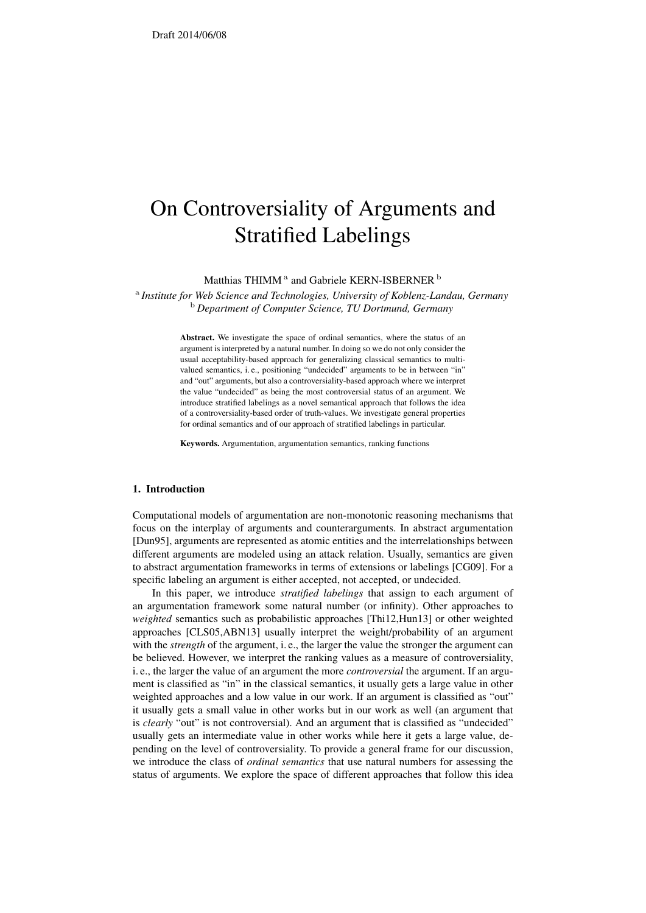# On Controversiality of Arguments and Stratified Labelings

Matthias THIMM  $^{\rm a}$  and Gabriele KERN-ISBERNER  $^{\rm b}$ 

a *Institute for Web Science and Technologies, University of Koblenz-Landau, Germany* <sup>b</sup> *Department of Computer Science, TU Dortmund, Germany*

> Abstract. We investigate the space of ordinal semantics, where the status of an argument is interpreted by a natural number. In doing so we do not only consider the usual acceptability-based approach for generalizing classical semantics to multivalued semantics, i. e., positioning "undecided" arguments to be in between "in" and "out" arguments, but also a controversiality-based approach where we interpret the value "undecided" as being the most controversial status of an argument. We introduce stratified labelings as a novel semantical approach that follows the idea of a controversiality-based order of truth-values. We investigate general properties for ordinal semantics and of our approach of stratified labelings in particular.

Keywords. Argumentation, argumentation semantics, ranking functions

## 1. Introduction

Computational models of argumentation are non-monotonic reasoning mechanisms that focus on the interplay of arguments and counterarguments. In abstract argumentation [Dun95], arguments are represented as atomic entities and the interrelationships between different arguments are modeled using an attack relation. Usually, semantics are given to abstract argumentation frameworks in terms of extensions or labelings [CG09]. For a specific labeling an argument is either accepted, not accepted, or undecided.

In this paper, we introduce *stratified labelings* that assign to each argument of an argumentation framework some natural number (or infinity). Other approaches to *weighted* semantics such as probabilistic approaches [Thi12,Hun13] or other weighted approaches [CLS05,ABN13] usually interpret the weight/probability of an argument with the *strength* of the argument, i.e., the larger the value the stronger the argument can be believed. However, we interpret the ranking values as a measure of controversiality, i. e., the larger the value of an argument the more *controversial* the argument. If an argument is classified as "in" in the classical semantics, it usually gets a large value in other weighted approaches and a low value in our work. If an argument is classified as "out" it usually gets a small value in other works but in our work as well (an argument that is *clearly* "out" is not controversial). And an argument that is classified as "undecided" usually gets an intermediate value in other works while here it gets a large value, depending on the level of controversiality. To provide a general frame for our discussion, we introduce the class of *ordinal semantics* that use natural numbers for assessing the status of arguments. We explore the space of different approaches that follow this idea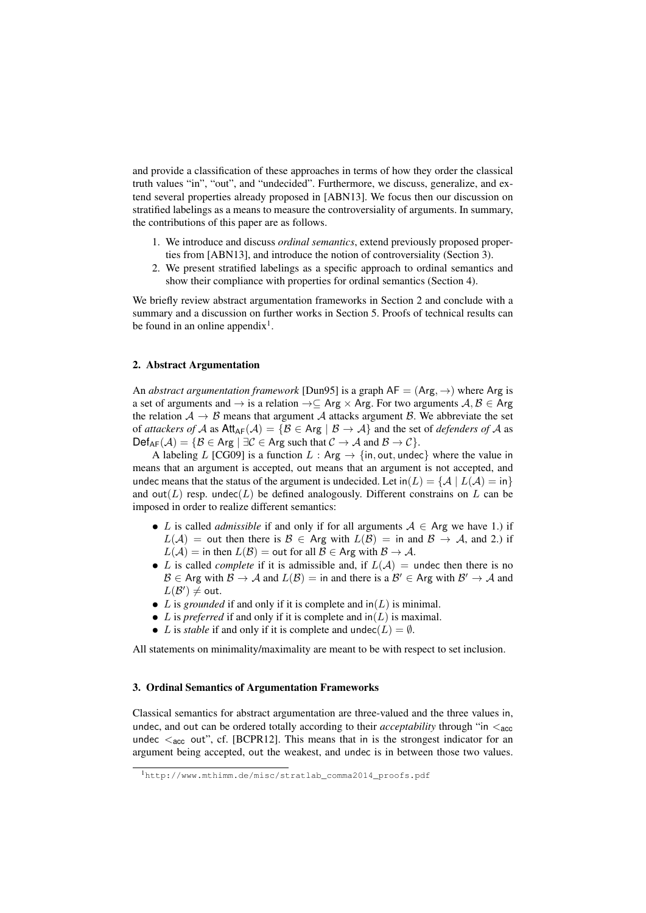and provide a classification of these approaches in terms of how they order the classical truth values "in", "out", and "undecided". Furthermore, we discuss, generalize, and extend several properties already proposed in [ABN13]. We focus then our discussion on stratified labelings as a means to measure the controversiality of arguments. In summary, the contributions of this paper are as follows.

- 1. We introduce and discuss *ordinal semantics*, extend previously proposed properties from [ABN13], and introduce the notion of controversiality (Section 3).
- 2. We present stratified labelings as a specific approach to ordinal semantics and show their compliance with properties for ordinal semantics (Section 4).

We briefly review abstract argumentation frameworks in Section 2 and conclude with a summary and a discussion on further works in Section 5. Proofs of technical results can be found in an online appendix<sup>1</sup>.

# 2. Abstract Argumentation

An *abstract argumentation framework* [Dun95] is a graph  $AF = (Arg, \rightarrow)$  where Arg is a set of arguments and  $\rightarrow$  is a relation  $\rightarrow \subseteq$  Arg  $\times$  Arg. For two arguments  $A, B \in$  Arg the relation  $A \rightarrow B$  means that argument A attacks argument B. We abbreviate the set of *attackers of* A as  $Att_{AF}(\mathcal{A}) = \{ \mathcal{B} \in \text{Arg} \mid \mathcal{B} \rightarrow \mathcal{A} \}$  and the set of *defenders of* A as  $\mathsf{Def}_{\mathsf{AF}}(\mathcal{A}) = \{ \mathcal{B} \in \mathsf{Arg} \mid \exists \mathcal{C} \in \mathsf{Arg} \text{ such that } \mathcal{C} \to \mathcal{A} \text{ and } \mathcal{B} \to \mathcal{C} \}.$ 

A labeling L [CG09] is a function  $L : Arg \rightarrow \{in, out, undec\}$  where the value in means that an argument is accepted, out means that an argument is not accepted, and undec means that the status of the argument is undecided. Let  $\text{in}(L) = \{ \mathcal{A} \mid L(\mathcal{A}) = \text{in} \}$ and out( $L$ ) resp. undec( $L$ ) be defined analogously. Different constrains on  $L$  can be imposed in order to realize different semantics:

- L is called *admissible* if and only if for all arguments  $A \in \text{Arg}$  we have 1.) if  $L(\mathcal{A}) =$  out then there is  $\mathcal{B} \in \mathsf{Arg}$  with  $L(\mathcal{B}) =$  in and  $\mathcal{B} \to \mathcal{A}$ , and 2.) if  $L(\mathcal{A}) = \text{in then } L(\mathcal{B}) = \text{out for all } \mathcal{B} \in \mathsf{Arg with } \mathcal{B} \to \mathcal{A}.$
- L is called *complete* if it is admissible and, if  $L(\mathcal{A}) =$  undec then there is no  $\mathcal{B} \in \text{Arg with } \mathcal{B} \to \mathcal{A} \text{ and } L(\mathcal{B}) = \text{in and there is a } \mathcal{B}' \in \text{Arg with } \mathcal{B}' \to \mathcal{A} \text{ and }$  $L(\mathcal{B}') \neq \mathsf{out}.$
- L is *grounded* if and only if it is complete and  $\text{in}(L)$  is minimal.
- L is *preferred* if and only if it is complete and  $\text{in}(L)$  is maximal.
- L is *stable* if and only if it is complete and undec( $L$ ) =  $\emptyset$ .

All statements on minimality/maximality are meant to be with respect to set inclusion.

#### 3. Ordinal Semantics of Argumentation Frameworks

Classical semantics for abstract argumentation are three-valued and the three values in, undec, and out can be ordered totally according to their *acceptability* through "in  $\ltq_{\text{acc}}$ undec  $\langle \cdot \rangle$  acc out", cf. [BCPR12]. This means that in is the strongest indicator for an argument being accepted, out the weakest, and undec is in between those two values.

<sup>1</sup>http://www.mthimm.de/misc/stratlab\_comma2014\_proofs.pdf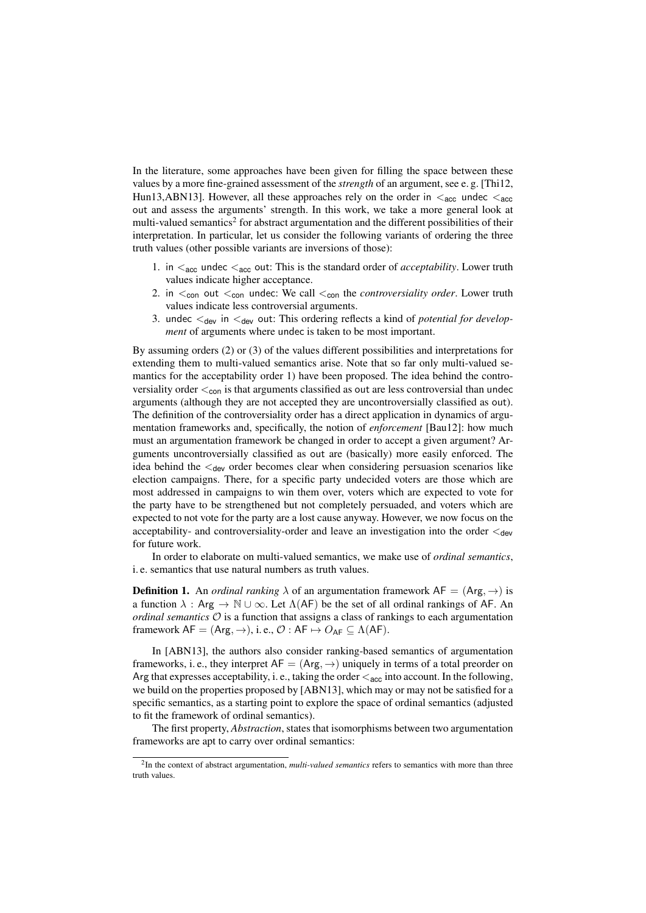In the literature, some approaches have been given for filling the space between these values by a more fine-grained assessment of the *strength* of an argument, see e. g. [Thi12, Hun13,ABN13]. However, all these approaches rely on the order in  $\leq_{\text{acc}}$  undec  $\leq_{\text{acc}}$ out and assess the arguments' strength. In this work, we take a more general look at multi-valued semantics<sup>2</sup> for abstract argumentation and the different possibilities of their interpretation. In particular, let us consider the following variants of ordering the three truth values (other possible variants are inversions of those):

- 1. in  $\epsilon_{\text{acc}}$  undec  $\epsilon_{\text{acc}}$  out: This is the standard order of *acceptability*. Lower truth values indicate higher acceptance.
- 2. in  $\lt_{con}$  out  $\lt_{con}$  undec: We call  $\lt_{con}$  the *controversiality order*. Lower truth values indicate less controversial arguments.
- 3. undec  $\lt_{dev}$  in  $\lt_{dev}$  out: This ordering reflects a kind of *potential for development* of arguments where undec is taken to be most important.

By assuming orders (2) or (3) of the values different possibilities and interpretations for extending them to multi-valued semantics arise. Note that so far only multi-valued semantics for the acceptability order 1) have been proposed. The idea behind the controversiality order  $\lt_{con}$  is that arguments classified as out are less controversial than undec arguments (although they are not accepted they are uncontroversially classified as out). The definition of the controversiality order has a direct application in dynamics of argumentation frameworks and, specifically, the notion of *enforcement* [Bau12]: how much must an argumentation framework be changed in order to accept a given argument? Arguments uncontroversially classified as out are (basically) more easily enforced. The idea behind the  $\lt_{dev}$  order becomes clear when considering persuasion scenarios like election campaigns. There, for a specific party undecided voters are those which are most addressed in campaigns to win them over, voters which are expected to vote for the party have to be strengthened but not completely persuaded, and voters which are expected to not vote for the party are a lost cause anyway. However, we now focus on the acceptability- and controversiality-order and leave an investigation into the order  $\lt_{dev}$ for future work.

In order to elaborate on multi-valued semantics, we make use of *ordinal semantics*, i. e. semantics that use natural numbers as truth values.

**Definition 1.** An *ordinal ranking*  $\lambda$  of an argumentation framework  $AF = (Arg, \rightarrow)$  is a function  $\lambda$ : Arg  $\rightarrow \mathbb{N} \cup \infty$ . Let  $\Lambda$ (AF) be the set of all ordinal rankings of AF. An *ordinal semantics*  $\mathcal O$  is a function that assigns a class of rankings to each argumentation framework  $AF = (Arg, \rightarrow)$ , i. e.,  $\mathcal{O}: AF \mapsto O_{AF} \subseteq \Lambda(AF)$ .

In [ABN13], the authors also consider ranking-based semantics of argumentation frameworks, i. e., they interpret  $AF = (Arg, \rightarrow)$  uniquely in terms of a total preorder on Arg that expresses acceptability, i. e., taking the order  $\lt_{acc}$  into account. In the following, we build on the properties proposed by [ABN13], which may or may not be satisfied for a specific semantics, as a starting point to explore the space of ordinal semantics (adjusted to fit the framework of ordinal semantics).

The first property, *Abstraction*, states that isomorphisms between two argumentation frameworks are apt to carry over ordinal semantics:

<sup>&</sup>lt;sup>2</sup>In the context of abstract argumentation, *multi-valued semantics* refers to semantics with more than three truth values.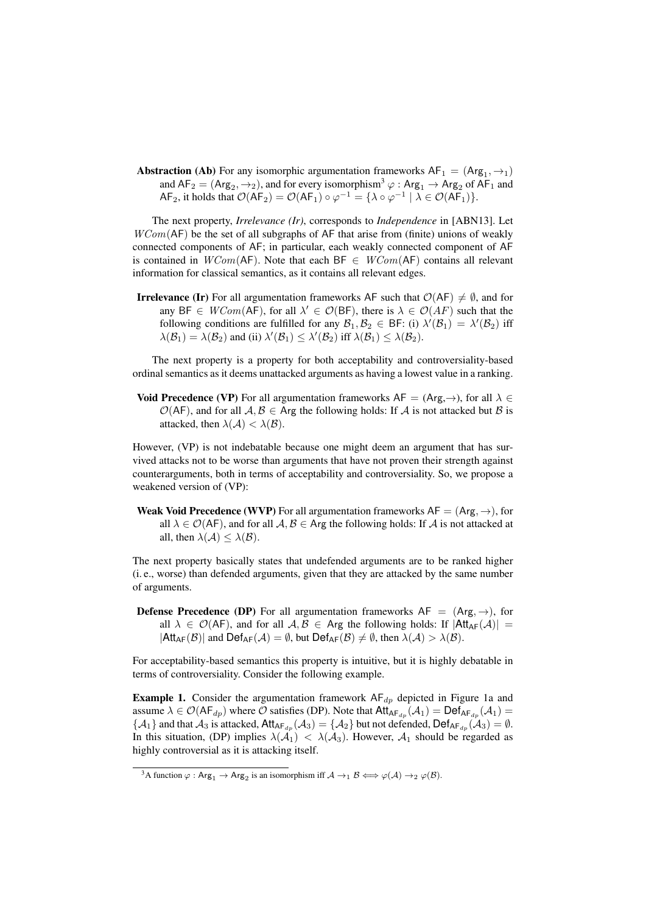**Abstraction** (Ab) For any isomorphic argumentation frameworks  $AF_1 = (Arg_1, \rightarrow_1)$ and  $AF_2 = (Arg_2, \rightarrow_2)$ , and for every isomorphism<sup>3</sup>  $\varphi : Arg_1 \to Arg_2$  of AF<sub>1</sub> and  $AF_2$ , it holds that  $\mathcal{O}(AF_2) = \mathcal{O}(AF_1) \circ \varphi^{-1} = \{ \lambda \circ \varphi^{-1} \mid \lambda \in \mathcal{O}(AF_1) \}.$ 

The next property, *Irrelevance (Ir)*, corresponds to *Independence* in [ABN13]. Let  $WCom(AF)$  be the set of all subgraphs of AF that arise from (finite) unions of weakly connected components of AF; in particular, each weakly connected component of AF is contained in  $WCom(AF)$ . Note that each BF  $\in WCom(AF)$  contains all relevant information for classical semantics, as it contains all relevant edges.

**Irrelevance (Ir)** For all argumentation frameworks AF such that  $\mathcal{O}(AF) \neq \emptyset$ , and for any BF  $\in WCom(\mathsf{AF})$ , for all  $\lambda' \in \mathcal{O}(\mathsf{BF})$ , there is  $\lambda \in \mathcal{O}(AF)$  such that the following conditions are fulfilled for any  $\mathcal{B}_1, \mathcal{B}_2 \in \mathsf{BF}$ : (i)  $\lambda'(\mathcal{B}_1) = \lambda'(\mathcal{B}_2)$  iff  $\lambda(\mathcal{B}_1) = \lambda(\mathcal{B}_2)$  and (ii)  $\lambda'(\mathcal{B}_1) \leq \lambda'(\mathcal{B}_2)$  iff  $\lambda(\mathcal{B}_1) \leq \lambda(\mathcal{B}_2)$ .

The next property is a property for both acceptability and controversiality-based ordinal semantics as it deems unattacked arguments as having a lowest value in a ranking.

Void Precedence (VP) For all argumentation frameworks  $AF = (Arg, \rightarrow)$ , for all  $\lambda \in$  $\mathcal{O}(AF)$ , and for all  $A, B \in \text{Arg}$  the following holds: If A is not attacked but B is attacked, then  $\lambda(\mathcal{A}) < \lambda(\mathcal{B})$ .

However, (VP) is not indebatable because one might deem an argument that has survived attacks not to be worse than arguments that have not proven their strength against counterarguments, both in terms of acceptability and controversiality. So, we propose a weakened version of (VP):

**Weak Void Precedence (WVP)** For all argumentation frameworks  $AF = (Arg, \rightarrow)$ , for all  $\lambda \in \mathcal{O}(AF)$ , and for all  $\mathcal{A}, \mathcal{B} \in \mathsf{Arg}$  the following holds: If  $\mathcal{A}$  is not attacked at all, then  $\lambda(\mathcal{A}) \leq \lambda(\mathcal{B})$ .

The next property basically states that undefended arguments are to be ranked higher (i. e., worse) than defended arguments, given that they are attacked by the same number of arguments.

**Defense Precedence (DP)** For all argumentation frameworks  $AF = (Arg, \rightarrow)$ , for all  $\lambda \in \mathcal{O}(AF)$ , and for all  $A, B \in \mathcal{A}$ rg the following holds: If  $|Att_{AF}(\mathcal{A})|$  =  $|Att_{AF}(\mathcal{B})|$  and  $Def_{AF}(\mathcal{A}) = \emptyset$ , but  $Def_{AF}(\mathcal{B}) \neq \emptyset$ , then  $\lambda(\mathcal{A}) > \lambda(\mathcal{B})$ .

For acceptability-based semantics this property is intuitive, but it is highly debatable in terms of controversiality. Consider the following example.

**Example 1.** Consider the argumentation framework  $AF_{dp}$  depicted in Figure 1a and assume  $\lambda \in \mathcal{O}(AF_{dp})$  where  $\mathcal O$  satisfies (DP). Note that  $Att_{AF_{dp}}(\mathcal A_1) = Def_{AF_{dp}}(\mathcal A_1)$  $\{A_1\}$  and that  $A_3$  is attacked,  $Att_{AF_{dp}}(A_3) = \{A_2\}$  but not defended,  $Def_{AF_{dp}}(A_3) = \emptyset$ . In this situation, (DP) implies  $\lambda(A_1) < \lambda(A_3)$ . However,  $A_1$  should be regarded as highly controversial as it is attacking itself.

<sup>&</sup>lt;sup>3</sup>A function  $\varphi$  :  $\text{Arg}_1 \to \text{Arg}_2$  is an isomorphism iff  $\mathcal{A} \to_1 \mathcal{B} \Longleftrightarrow \varphi(\mathcal{A}) \to_2 \varphi(\mathcal{B})$ .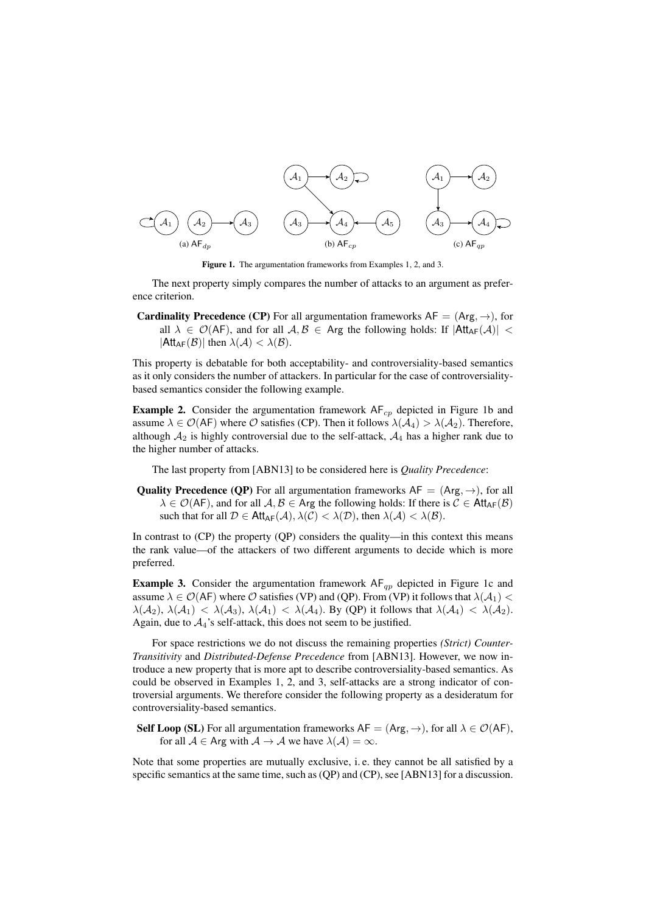

Figure 1. The argumentation frameworks from Examples 1, 2, and 3.

The next property simply compares the number of attacks to an argument as preference criterion.

**Cardinality Precedence (CP)** For all argumentation frameworks  $AF = (Arg, \rightarrow)$ , for all  $\lambda \in \mathcal{O}(AF)$ , and for all  $\mathcal{A}, \mathcal{B} \in \mathsf{Arg}$  the following holds: If  $|\mathsf{Att}_{AF}(\mathcal{A})|$  <  $|{\sf Att}_{AF}(\mathcal{B})|$  then  $\lambda(\mathcal{A}) < \lambda(\mathcal{B})$ .

This property is debatable for both acceptability- and controversiality-based semantics as it only considers the number of attackers. In particular for the case of controversialitybased semantics consider the following example.

**Example 2.** Consider the argumentation framework  $AF<sub>cp</sub>$  depicted in Figure 1b and assume  $\lambda \in \mathcal{O}(AF)$  where  $\mathcal O$  satisfies (CP). Then it follows  $\lambda(\mathcal{A}_4) > \lambda(\mathcal{A}_2)$ . Therefore, although  $A_2$  is highly controversial due to the self-attack,  $A_4$  has a higher rank due to the higher number of attacks.

The last property from [ABN13] to be considered here is *Quality Precedence*:

**Quality Precedence (QP)** For all argumentation frameworks  $AF = (Arg, \rightarrow)$ , for all  $\lambda \in \mathcal{O}(AF)$ , and for all  $A, B \in \text{Arg}$  the following holds: If there is  $C \in \text{Att}_{AF}(B)$ such that for all  $\mathcal{D} \in \mathsf{Att}_{\mathsf{AF}}(\mathcal{A}), \lambda(\mathcal{C}) < \lambda(\mathcal{D})$ , then  $\lambda(\mathcal{A}) < \lambda(\mathcal{B})$ .

In contrast to  $(CP)$  the property  $(QP)$  considers the quality—in this context this means the rank value—of the attackers of two different arguments to decide which is more preferred.

**Example 3.** Consider the argumentation framework  $AF_{qp}$  depicted in Figure 1c and assume  $\lambda \in \mathcal{O}(AF)$  where  $\mathcal O$  satisfies (VP) and (QP). From (VP) it follows that  $\lambda(\mathcal{A}_1)$  <  $\lambda(\mathcal{A}_2), \lambda(\mathcal{A}_1) < \lambda(\mathcal{A}_3), \lambda(\mathcal{A}_1) < \lambda(\mathcal{A}_4)$ . By (QP) it follows that  $\lambda(\mathcal{A}_4) < \lambda(\mathcal{A}_2)$ . Again, due to  $A_4$ 's self-attack, this does not seem to be justified.

For space restrictions we do not discuss the remaining properties *(Strict) Counter-Transitivity* and *Distributed-Defense Precedence* from [ABN13]. However, we now introduce a new property that is more apt to describe controversiality-based semantics. As could be observed in Examples 1, 2, and 3, self-attacks are a strong indicator of controversial arguments. We therefore consider the following property as a desideratum for controversiality-based semantics.

**Self Loop (SL)** For all argumentation frameworks  $AF = (Arg, \rightarrow)$ , for all  $\lambda \in \mathcal{O}(AF)$ , for all  $A \in \text{Arg with } A \to A$  we have  $\lambda(A) = \infty$ .

Note that some properties are mutually exclusive, i. e. they cannot be all satisfied by a specific semantics at the same time, such as (QP) and (CP), see [ABN13] for a discussion.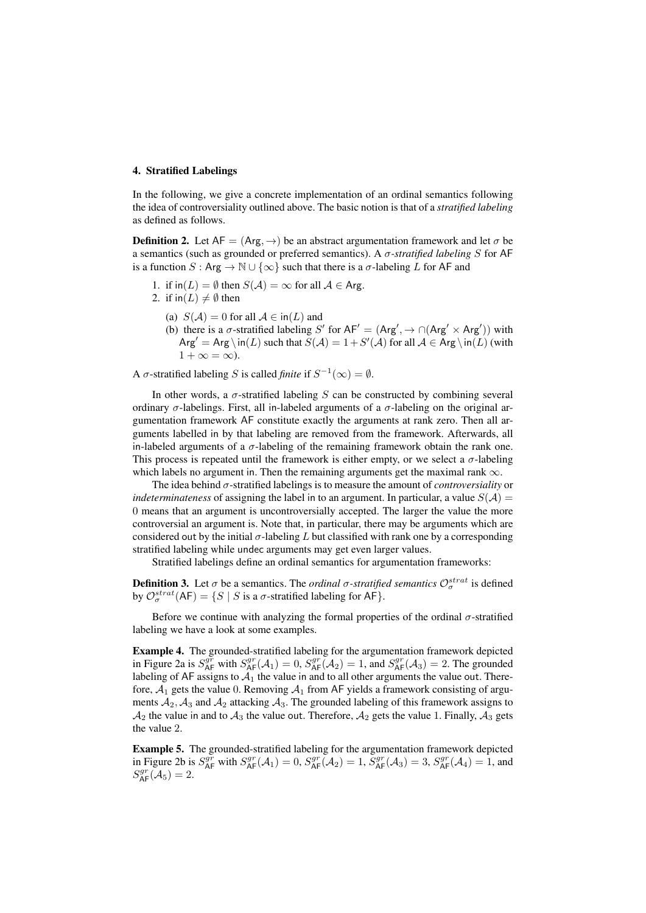# 4. Stratified Labelings

In the following, we give a concrete implementation of an ordinal semantics following the idea of controversiality outlined above. The basic notion is that of a *stratified labeling* as defined as follows.

**Definition 2.** Let  $AF = (Arg, \rightarrow)$  be an abstract argumentation framework and let  $\sigma$  be a semantics (such as grounded or preferred semantics). A σ*-stratified labeling* S for AF is a function  $S : \text{Arg} \to \mathbb{N} \cup \{\infty\}$  such that there is a  $\sigma$ -labeling L for AF and

- 1. if  $\text{in}(L) = \emptyset$  then  $S(\mathcal{A}) = \infty$  for all  $\mathcal{A} \in \text{Arg}$ .
- 2. if  $\text{in}(L) \neq \emptyset$  then
	- (a)  $S(A) = 0$  for all  $A \in \text{in}(L)$  and
	- (b) there is a  $\sigma$ -stratified labeling S' for AF' = (Arg',  $\rightarrow \cap (Arg' \times Arg')$ ) with  $\text{Arg}' = \text{Arg} \setminus \text{in}(L)$  such that  $S(\mathcal{A}) = 1 + S'(\mathcal{A})$  for all  $\mathcal{A} \in \text{Arg} \setminus \text{in}(L)$  (with  $1 + \infty = \infty$ ).

A  $\sigma$ -stratified labeling *S* is called *finite* if  $S^{-1}(\infty) = \emptyset$ .

In other words, a  $\sigma$ -stratified labeling S can be constructed by combining several ordinary  $\sigma$ -labelings. First, all in-labeled arguments of a  $\sigma$ -labeling on the original argumentation framework AF constitute exactly the arguments at rank zero. Then all arguments labelled in by that labeling are removed from the framework. Afterwards, all in-labeled arguments of a σ-labeling of the remaining framework obtain the rank one. This process is repeated until the framework is either empty, or we select a  $\sigma$ -labeling which labels no argument in. Then the remaining arguments get the maximal rank  $\infty$ .

The idea behind σ-stratified labelings is to measure the amount of *controversiality* or *indeterminateness* of assigning the label in to an argument. In particular, a value  $S(\mathcal{A}) =$ 0 means that an argument is uncontroversially accepted. The larger the value the more controversial an argument is. Note that, in particular, there may be arguments which are considered out by the initial  $\sigma$ -labeling L but classified with rank one by a corresponding stratified labeling while undec arguments may get even larger values.

Stratified labelings define an ordinal semantics for argumentation frameworks:

**Definition 3.** Let  $\sigma$  be a semantics. The *ordinal*  $\sigma$ -stratified semantics  $\mathcal{O}^{strat}_{\sigma}$  is defined by  $\mathcal{O}^{strat}_{\sigma}(\mathsf{AF}) = \{ S \mid S \text{ is a } \sigma\text{-stratified labeling for }\mathsf{AF} \}.$ 

Before we continue with analyzing the formal properties of the ordinal  $\sigma$ -stratified labeling we have a look at some examples.

Example 4. The grounded-stratified labeling for the argumentation framework depicted in Figure 2a is  $S_{AF}^{gr}$  with  $S_{AF}^{gr}(\mathcal{A}_1) = 0$ ,  $S_{AF}^{gr}(\mathcal{A}_2) = 1$ , and  $S_{AF}^{gr}(\mathcal{A}_3) = 2$ . The grounded labeling of AF assigns to  $A_1$  the value in and to all other arguments the value out. Therefore,  $A_1$  gets the value 0. Removing  $A_1$  from AF yields a framework consisting of arguments  $A_2$ ,  $A_3$  and  $A_2$  attacking  $A_3$ . The grounded labeling of this framework assigns to  $A_2$  the value in and to  $A_3$  the value out. Therefore,  $A_2$  gets the value 1. Finally,  $A_3$  gets the value 2.

Example 5. The grounded-stratified labeling for the argumentation framework depicted in Figure 2b is  $S_{AF}^{gr}$  with  $S_{AF}^{gr}(\mathcal{A}_1) = 0$ ,  $S_{AF}^{gr}(\mathcal{A}_2) = 1$ ,  $S_{AF}^{gr}(\mathcal{A}_3) = 3$ ,  $S_{AF}^{gr}(\mathcal{A}_4) = 1$ , and  $S_{\sf AF}^{gr}(\mathcal{A}_5)=2.$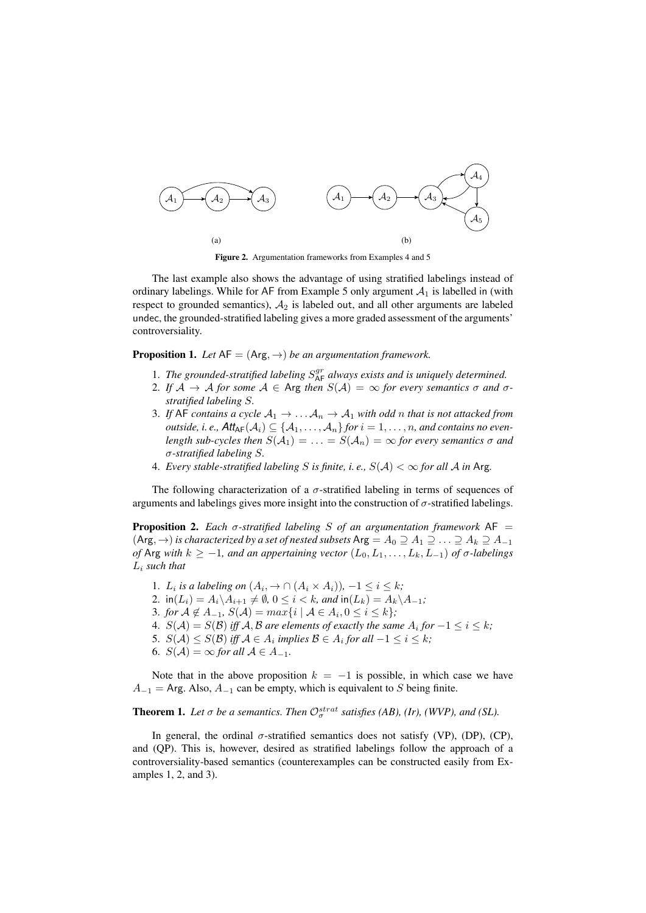

Figure 2. Argumentation frameworks from Examples 4 and 5

The last example also shows the advantage of using stratified labelings instead of ordinary labelings. While for AF from Example 5 only argument  $A_1$  is labelled in (with respect to grounded semantics),  $A_2$  is labeled out, and all other arguments are labeled undec, the grounded-stratified labeling gives a more graded assessment of the arguments' controversiality.

**Proposition 1.** Let  $AF = (Arg, \rightarrow)$  *be an argumentation framework.* 

- 1. The grounded-stratified labeling  $S_{\mathsf{AF}}^{gr}$  always exists and is uniquely determined.
- 2. If  $A \rightarrow A$  *for some*  $A \in \text{Arg }$  *then*  $S(A) = \infty$  *for every semantics*  $\sigma$  *and*  $\sigma$ *stratified labeling* S*.*
- 3. If AF contains a cycle  $A_1 \rightarrow \ldots A_n \rightarrow A_1$  with odd n that is not attacked from *outside, i.e.,*  $\mathsf{Att}_{\mathsf{AF}}(\mathcal{A}_i) \subseteq \{A_1, \ldots, A_n\}$  *for*  $i = 1, \ldots, n$ *, and contains no evenlength sub-cycles then*  $S(A_1) = \ldots = S(A_n) = \infty$  *for every semantics*  $\sigma$  *and* σ*-stratified labeling* S*.*
- 4. *Every stable-stratified labeling S is finite, i.e.,*  $S(A) < \infty$  *for all A in* Arg.

The following characterization of a  $\sigma$ -stratified labeling in terms of sequences of arguments and labelings gives more insight into the construction of  $\sigma$ -stratified labelings.

**Proposition 2.** *Each*  $\sigma$ -stratified labeling *S* of an argumentation framework AF =  $(\text{Arg}, \rightarrow)$  *is characterized by a set of nested subsets* Arg =  $A_0 \supseteq A_1 \supseteqeq A_2 \supseteqeq A_{-1}$ *of* Arg *with*  $k \ge -1$ *, and an appertaining vector*  $(L_0, L_1, \ldots, L_k, L_{-1})$  *of*  $\sigma$ -labelings L<sup>i</sup> *such that*

1.  $L_i$  is a labeling on  $(A_i, \rightarrow \cap (A_i \times A_i))$ ,  $-1 \leq i \leq k$ ; 2.  $\text{in}(L_i) = A_i \setminus A_{i+1} \neq \emptyset, 0 \leq i < k$ , and  $\text{in}(L_k) = A_k \setminus A_{-1}$ ; 3. *for*  $A \notin A_{-1}$ ,  $S(A) = max\{i \mid A \in A_i, 0 \le i \le k\}$ ; 4.  $S(A) = S(B)$  iff A, B are elements of exactly the same  $A_i$  for  $-1 \leq i \leq k$ ; 5.  $S(\mathcal{A}) \leq S(\mathcal{B})$  iff  $\mathcal{A} \in A_i$  implies  $\mathcal{B} \in A_i$  for all  $-1 \leq i \leq k$ ; 6.  $S(A) = \infty$  *for all*  $A \in A_{-1}$ .

Note that in the above proposition  $k = -1$  is possible, in which case we have  $A_{-1}$  = Arg. Also,  $A_{-1}$  can be empty, which is equivalent to S being finite.

**Theorem 1.** Let  $\sigma$  be a semantics. Then  $\mathcal{O}^{strat}_{\sigma}$  satisfies (AB), (Ir), (WVP), and (SL).

In general, the ordinal  $\sigma$ -stratified semantics does not satisfy (VP), (DP), (CP), and (QP). This is, however, desired as stratified labelings follow the approach of a controversiality-based semantics (counterexamples can be constructed easily from Examples 1, 2, and 3).